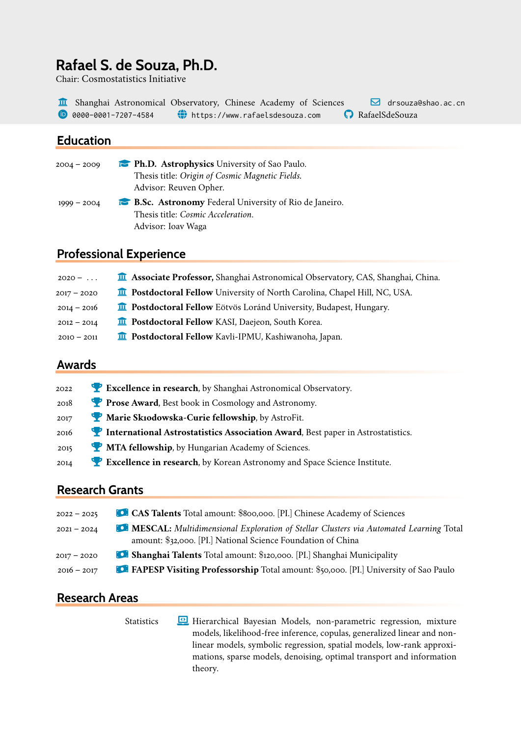# **Rafael S. de Souza, Ph.D.**

Chair: Cosmostatistics Initiative

The Shanghai Astronomical Observatory, Chinese Academy of Sciences  $\Box$  drsouza@shao.ac.cn **D** 0000-0001-7207-4584 (Cultips://www.rafaelsdesouza.com CultipateSouza

### **Education**

| $2004 - 2009$ | <b>Ph.D.</b> Astrophysics University of Sao Paulo.           |
|---------------|--------------------------------------------------------------|
|               | Thesis title: Origin of Cosmic Magnetic Fields.              |
|               | Advisor: Reuven Opher.                                       |
| $1999 - 2004$ | <b>B.Sc. Astronomy</b> Federal University of Rio de Janeiro. |
|               | Thesis title: <i>Cosmic Acceleration</i> .                   |
|               | Advisor: Ioav Waga                                           |

### **Professional Experience**

| $2020 - \ldots$ | <b>The Associate Professor</b> , Shanghai Astronomical Observatory, CAS, Shanghai, China. |
|-----------------|-------------------------------------------------------------------------------------------|
| $2017 - 2020$   | <b>n</b> Postdoctoral Fellow University of North Carolina, Chapel Hill, NC, USA.          |
| $2014 - 2016$   | <b>n</b> Postdoctoral Fellow Eötvös Loránd University, Budapest, Hungary.                 |
| $2012 - 2014$   | <b>II</b> Postdoctoral Fellow KASI, Daejeon, South Korea.                                 |
| $2010 - 2011$   | <b>n</b> Postdoctoral Fellow Kavli-IPMU, Kashiwanoha, Japan.                              |
|                 |                                                                                           |

### **Awards**

| 2022 | Excellence in research, by Shanghai Astronomical Observatory.                                          |
|------|--------------------------------------------------------------------------------------------------------|
| 2018 | Prose Award, Best book in Cosmology and Astronomy.                                                     |
| 2017 | Marie Sk10dowska-Curie fellowship, by AstroFit.                                                        |
| 2016 | <b>Manufacture 12 International Astrostatistics Association Award</b> , Best paper in Astrostatistics. |
| 2015 | MTA fellowship, by Hungarian Academy of Sciences.                                                      |
| 2014 | Excellence in research, by Korean Astronomy and Space Science Institute.                               |

### **Research Grants**

| CAS Talents Total amount: \$800,000. [PI.] Chinese Academy of Sciences                                                                                          |
|-----------------------------------------------------------------------------------------------------------------------------------------------------------------|
| <b>C. MESCAL:</b> Multidimensional Exploration of Stellar Clusters via Automated Learning Total<br>amount: \$32,000. [PI.] National Science Foundation of China |
| <b>C. Shanghai Talents</b> Total amount: \$120,000. [PI.] Shanghai Municipality                                                                                 |
| <b>C. FAPESP Visiting Professorship</b> Total amount: \$50,000. [PI.] University of Sao Paulo                                                                   |
|                                                                                                                                                                 |

### **Research Areas**

Statistics **Laptop-Code Hierarchical Bayesian Models**, non-parametric regression, mixture models, likelihood-free inference, copulas, generalized linear and nonlinear models, symbolic regression, spatial models, low-rank approximations, sparse models, denoising, optimal transport and information theory.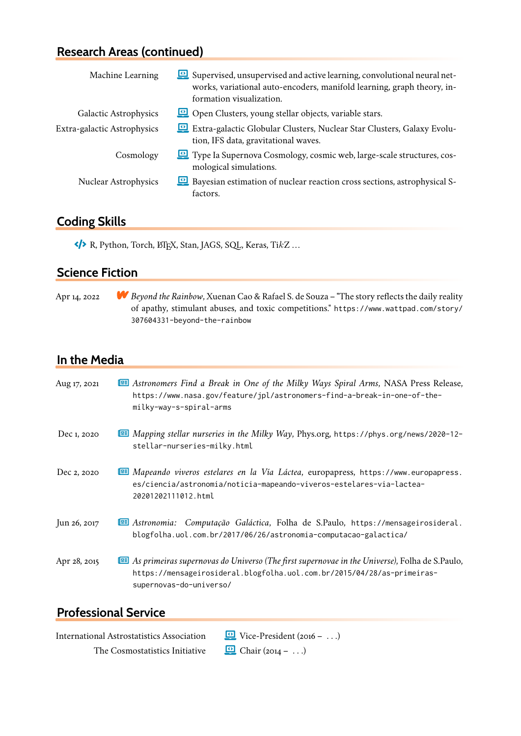# **Research Areas (continued)**

| Machine Learning            | Supervised, unsupervised and active learning, convolutional neural net-<br>works, variational auto-encoders, manifold learning, graph theory, in-<br>formation visualization. |
|-----------------------------|-------------------------------------------------------------------------------------------------------------------------------------------------------------------------------|
| Galactic Astrophysics       | Open Clusters, young stellar objects, variable stars.                                                                                                                         |
| Extra-galactic Astrophysics | Extra-galactic Globular Clusters, Nuclear Star Clusters, Galaxy Evolu-<br>tion, IFS data, gravitational waves.                                                                |
| Cosmology                   | Type Ia Supernova Cosmology, cosmic web, large-scale structures, cos-<br>mological simulations.                                                                               |
| <b>Nuclear Astrophysics</b> | <b>E</b> Bayesian estimation of nuclear reaction cross sections, astrophysical S-<br>factors.                                                                                 |

### **Coding Skills**

 $\leftrightarrow$  R, Python, Torch, ETEX, Stan, JAGS, SQL, Keras, Ti $kZ$ ...

### **Science Fiction**

Apr 14, 2022 **Beyond the Rainbow**, Xuenan Cao & Rafael S. de Souza – "The story reflects the daily reality of apathy, stimulant abuses, and toxic competitions." [https://www.wattpad.com/story/](https://www.wattpad.com/story/307604331-beyond-the-rainbow) [307604331-beyond-the-rainbow](https://www.wattpad.com/story/307604331-beyond-the-rainbow)

### **In the Media**

| Aug 17, 2021 | <b>EE Astronomers Find a Break in One of the Milky Ways Spiral Arms, NASA Press Release,</b><br>https://www.nasa.gov/feature/jpl/astronomers-find-a-break-in-one-of-the-<br>milky-way-s-spiral-arms           |
|--------------|---------------------------------------------------------------------------------------------------------------------------------------------------------------------------------------------------------------|
| Dec 1, 2020  | <b>III Mapping stellar nurseries in the Milky Way, Phys.org, https://phys.org/news/2020-12-</b><br>stellar-nurseries-milky.html                                                                               |
| Dec 2, 2020  | E Mapeando viveros estelares en la Vía Láctea, europapress, https://www.europapress.<br>es/ciencia/astronomia/noticia-mapeando-viveros-estelares-via-lactea-<br>20201202111012.html                           |
| Jun 26, 2017 | El Astronomia: Computação Galáctica, Folha de S.Paulo, https://mensageirosideral.<br>blogfolha.uol.com.br/2017/06/26/astronomia-computacao-galactica/                                                         |
| Apr 28, 2015 | <b>EE</b> As primeiras supernovas do Universo (The first supernovae in the Universe), Folha de S.Paulo,<br>https://mensageirosideral.blogfolha.uol.com.br/2015/04/28/as-primeiras-<br>supernovas-do-universo/ |

## **Professional Service**

International Astrostatistics Association  $\Box$  Vice-President (2016 – ...) The Cosmostatistics Initiative  $\qquad \qquad \blacksquare$  Chair (2014 – ...)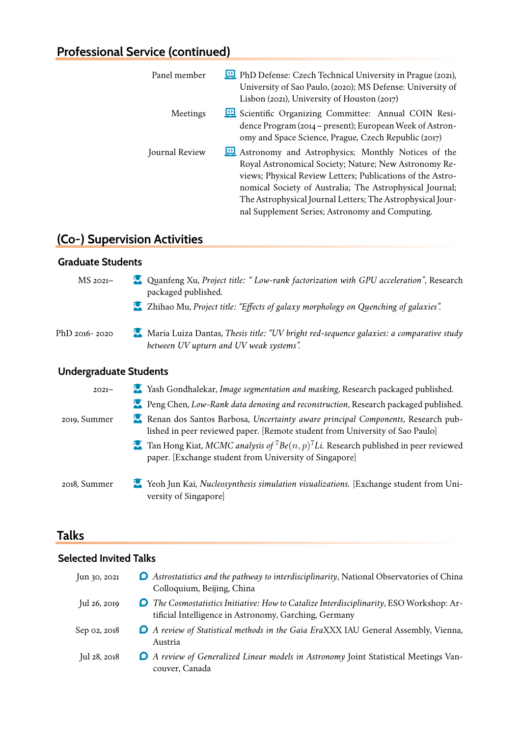## **Professional Service (continued)**

| Panel member   | PhD Defense: Czech Technical University in Prague (2021),<br>University of Sao Paulo, (2020); MS Defense: University of<br>Lisbon (2021), University of Houston (2017)                                                                                                                                                                                 |
|----------------|--------------------------------------------------------------------------------------------------------------------------------------------------------------------------------------------------------------------------------------------------------------------------------------------------------------------------------------------------------|
| Meetings       | Scientific Organizing Committee: Annual COIN Resi-<br>dence Program (2014 – present); European Week of Astron-<br>omy and Space Science, Prague, Czech Republic (2017)                                                                                                                                                                                 |
| Journal Review | Astronomy and Astrophysics; Monthly Notices of the<br>Royal Astronomical Society; Nature; New Astronomy Re-<br>views; Physical Review Letters; Publications of the Astro-<br>nomical Society of Australia; The Astrophysical Journal;<br>The Astrophysical Journal Letters; The Astrophysical Jour-<br>nal Supplement Series; Astronomy and Computing. |

# **(Co-) Supervision Activities**

#### **Graduate Students**

MS 2021– **Quanfeng Xu,** *Project title: " Low-rank factorization with GPU acceleration***", Research** packaged published.

- **Lands** Zhihao Mu, *Project title: "Effects of galaxy morphology on Quenching of galaxies".*
- PhD 2016- 2020 **User-Graduate Maria Luiza Dantas,** *Thesis title: "UV bright red-sequence galaxies: a comparative study between UV upturn and UV weak systems".*

#### **Undergraduate Students**

| $2021 -$     | Vash Gondhalekar, Image segmentation and masking, Research packaged published.                                                                                         |
|--------------|------------------------------------------------------------------------------------------------------------------------------------------------------------------------|
|              | <b>No.</b> Peng Chen, Low-Rank data denosing and reconstruction, Research packaged published.                                                                          |
| 2019, Summer | Renan dos Santos Barbosa, Uncertainty aware principal Components, Research pub-<br>lished in peer reviewed paper. [Remote student from University of Sao Paulo]        |
|              | <b>Tan Hong Kiat, MCMC analysis of</b> ${}^{7}Be(n, p)$ <sup>7</sup> Li. Research published in peer reviewed<br>paper. [Exchange student from University of Singapore] |
| 2018, Summer | Neoh Jun Kai, Nucleosynthesis simulation visualizations. [Exchange student from Uni-<br>versity of Singapore]                                                          |

### **Talks**

#### **Selected Invited Talks**

| Jun 30, 2021 | <b>O</b> Astrostatistics and the pathway to interdisciplinarity, National Observatories of China<br>Colloquium, Beijing, China                           |
|--------------|----------------------------------------------------------------------------------------------------------------------------------------------------------|
| Jul 26, 2019 | <b>O</b> The Cosmostatistics Initiative: How to Catalize Interdisciplinarity, ESO Workshop: Ar-<br>tificial Intelligence in Astronomy, Garching, Germany |
| Sep 02, 2018 | <b>O</b> A review of Statistical methods in the Gaia EraXXX IAU General Assembly, Vienna,<br>Austria                                                     |
| Jul 28, 2018 | <b>O</b> A review of Generalized Linear models in Astronomy Joint Statistical Meetings Van-<br>couver, Canada                                            |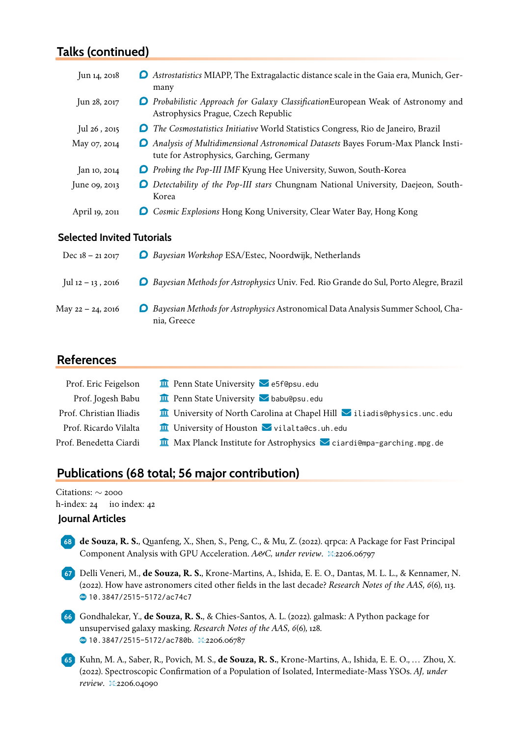## **Talks (continued)**

| Jun 14, 2018   | <b>O</b> Astrostatistics MIAPP, The Extragalactic distance scale in the Gaia era, Munich, Ger-<br>many                                |
|----------------|---------------------------------------------------------------------------------------------------------------------------------------|
| Jun 28, 2017   | <b>O</b> Probabilistic Approach for Galaxy Classification European Weak of Astronomy and<br>Astrophysics Prague, Czech Republic       |
| Jul 26, 2015   | <b>O</b> The Cosmostatistics Initiative World Statistics Congress, Rio de Janeiro, Brazil                                             |
| May 07, 2014   | <b>O</b> Analysis of Multidimensional Astronomical Datasets Bayes Forum-Max Planck Insti-<br>tute for Astrophysics, Garching, Germany |
| Jan 10, 2014   | <b>O</b> Probing the Pop-III IMF Kyung Hee University, Suwon, South-Korea                                                             |
| June 09, 2013  | Detectability of the Pop-III stars Chungnam National University, Daejeon, South-<br>Korea                                             |
| April 19, 2011 | <b>O</b> Cosmic Explosions Hong Kong University, Clear Water Bay, Hong Kong                                                           |
| .              |                                                                                                                                       |

#### **Selected Invited Tutorials**

| Dec $18 - 212017$ | <b>O</b> Bayesian Workshop ESA/Estec, Noordwijk, Netherlands                                             |
|-------------------|----------------------------------------------------------------------------------------------------------|
| Jul 12 – 13, 2016 | <b>O</b> Bayesian Methods for Astrophysics Univ. Fed. Rio Grande do Sul, Porto Alegre, Brazil            |
| May 22 – 24, 2016 | <b>O</b> Bayesian Methods for Astrophysics Astronomical Data Analysis Summer School, Cha-<br>nia, Greece |

### **References**

| Prof. Eric Feigelson    | $\mathbf{u}$ Penn State University $\mathbf{v}$ e5f@psu.edu                              |
|-------------------------|------------------------------------------------------------------------------------------|
| Prof. Jogesh Babu       | $\mathbf{\overline{u}}$ Penn State University $\mathbf{\triangleright}$ babu@psu.edu     |
| Prof. Christian Iliadis | <b>II</b> University of North Carolina at Chapel Hill <b>V</b> iliadis@physics.unc.edu   |
| Prof. Ricardo Vilalta   | $\mathbf{\overline{u}}$ University of Houston $\mathbf{\nabla}$ vilalta@cs.uh.edu        |
| Prof. Benedetta Ciardi  | $\frac{1}{\Box}$ Max Planck Institute for Astrophysics $\Box$ ciardi@mpa-garching.mpg.de |

# **Publications (68 total; 56 major contribution)**

Citations: ∼ 2000 h-index: 24 i10 index: 42

#### **Journal Articles**

- **6 8 de Souza, R. S.**, Quanfeng, X., Shen, S., Peng, C., & Mu, Z. (2022). qrpca: A Package for Fast Principal Component Analysis with GPU Acceleration. *A&C, under review*. �:2206.06797
- **6 7** Delli Veneri, M., **de Souza, R. S.**, Krone-Martins, A., Ishida, E. E. O., Dantas, M. L. L., & Kennamer, N. (2022). How have astronomers cited other fields in the last decade? *Research Notes of the AAS*, *6*(6), 113. � [10.3847/2515-5172/ac74c7](https://doi.org/10.3847/2515-5172/ac74c7)
- **6 6** Gondhalekar, Y., **de Souza, R. S.**, & Chies-Santos, A. L. (2022). galmask: A Python package for unsupervised galaxy masking. *Research Notes of the AAS*, *6*(6), 128. **@ [10.3847/2515-5172/ac780b](https://doi.org/10.3847/2515-5172/ac780b).** 其2206.06787
- **6 5** Kuhn, M. A., Saber, R., Povich, M. S., **de Souza, R. S.**, Krone-Martins, A., Ishida, E. E. O., . . . Zhou, X. (2022). Spectroscopic Confirmation of a Population of Isolated, Intermediate-Mass YSOs. *AJ, under review*. �:2206.04090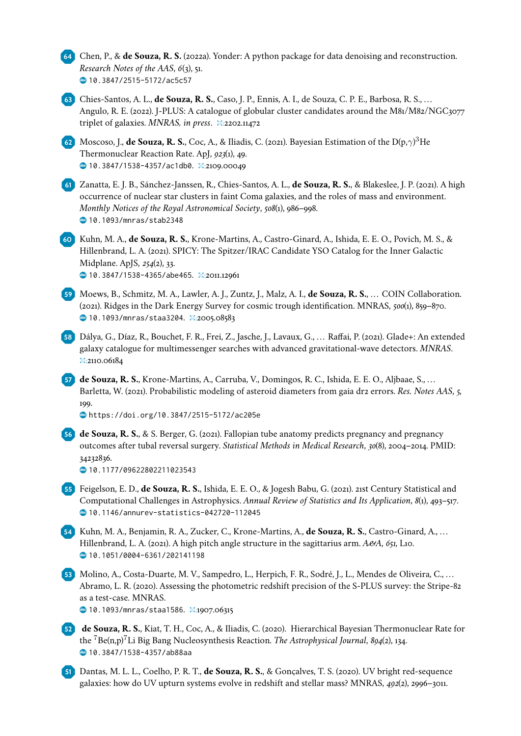**6 4** Chen, P., & **de Souza, R. S.** (2022a). Yonder: A python package for data denoising and reconstruction. *Research Notes of the AAS*, *6*(3), 51. � [10.3847/2515-5172/ac5c57](https://doi.org/10.3847/2515-5172/ac5c57)

**6 3** Chies-Santos, A. L., **de Souza, R. S.**, Caso, J. P., Ennis, A. I., de Souza, C. P. E., Barbosa, R. S., . . . Angulo, R. E. (2022). J-PLUS: A catalogue of globular cluster candidates around the M81/M82/NGC3077 triplet of galaxies. *MNRAS, in press*. �:2202.11472

**62** Moscoso, J., **de Souza, R. S.**, Coc, A., & Iliadis, C. (2021). Bayesian Estimation of the D(p, $\gamma$ )<sup>3</sup>He Thermonuclear Reaction Rate. ApJ, *923*(1), 49. � [10.3847/1538-4357/ac1db0](https://doi.org/10.3847/1538-4357/ac1db0). �:2109.00049

**6 1** Zanatta, E. J. B., Sánchez-Janssen, R., Chies-Santos, A. L., **de Souza, R. S.**, & Blakeslee, J. P. (2021). A high occurrence of nuclear star clusters in faint Coma galaxies, and the roles of mass and environment. *Monthly Notices of the Royal Astronomical Society*, *508*(1), 986–998. � [10.1093/mnras/stab2348](https://doi.org/10.1093/mnras/stab2348)

**6 0** Kuhn, M. A., **de Souza, R. S.**, Krone-Martins, A., Castro-Ginard, A., Ishida, E. E. O., Povich, M. S., & Hillenbrand, L. A. (2021). SPICY: The Spitzer/IRAC Candidate YSO Catalog for the Inner Galactic Midplane. ApJS, *254*(2), 33. � [10.3847/1538-4365/abe465](https://doi.org/10.3847/1538-4365/abe465). �:2011.12961

- **5 9** Moews, B., Schmitz, M. A., Lawler, A. J., Zuntz, J., Malz, A. I., **de Souza, R. S.**, . . . COIN Collaboration. (2021). Ridges in the Dark Energy Survey for cosmic trough identification. MNRAS, *500*(1), 859–870. � [10.1093/mnras/staa3204](https://doi.org/10.1093/mnras/staa3204). �:2005.08583
- **5 8** Dálya, G., Díaz, R., Bouchet, F. R., Frei, Z., Jasche, J., Lavaux, G., . . . Raffai, P. (2021). Glade+: An extended galaxy catalogue for multimessenger searches with advanced gravitational-wave detectors. *MNRAS*. **草:2110.06184**
- **5 7 de Souza, R. S.**, Krone-Martins, A., Carruba, V., Domingos, R. C., Ishida, E. E. O., Aljbaae, S., . . . Barletta, W. (2021). Probabilistic modeling of asteroid diameters from gaia dr2 errors. *Res. Notes AAS*, *5*, 199.

� [https://doi.org/10.3847/2515-5172/ac205e](https://doi.org/https://doi.org/10.3847/2515-5172/ac205e)

**5 6 de Souza, R. S.**, & S. Berger, G. (2021). Fallopian tube anatomy predicts pregnancy and pregnancy outcomes after tubal reversal surgery. *Statistical Methods in Medical Research*, *30*(8), 2004–2014. PMID: 34232836.

**b** [10.1177/09622802211023543](https://doi.org/10.1177/09622802211023543)

- **5 5** Feigelson, E. D., **de Souza, R. S.**, Ishida, E. E. O., & Jogesh Babu, G. (2021). 21st Century Statistical and Computational Challenges in Astrophysics. *Annual Review of Statistics and Its Application*, *8*(1), 493–517. � [10.1146/annurev-statistics-042720-112045](https://doi.org/10.1146/annurev-statistics-042720-112045)
- **5 4** Kuhn, M. A., Benjamin, R. A., Zucker, C., Krone-Martins, A., **de Souza, R. S.**, Castro-Ginard, A., . . . Hillenbrand, L. A. (2021). A high pitch angle structure in the sagittarius arm. *A&A*, *651*, L10.  $\bullet$  [10.1051/0004-6361/202141198](https://doi.org/10.1051/0004-6361/202141198)
- **5 3** Molino, A., Costa-Duarte, M. V., Sampedro, L., Herpich, F. R., Sodré, J., L., Mendes de Oliveira, C., . . . Abramo, L. R. (2020). Assessing the photometric redshift precision of the S-PLUS survey: the Stripe-82 as a test-case. MNRAS.

� [10.1093/mnras/staa1586](https://doi.org/10.1093/mnras/staa1586). �:1907.06315

- **5 2 de Souza, R. S.**, Kiat, T. H., Coc, A., & Iliadis, C. (2020). Hierarchical Bayesian Thermonuclear Rate for the <sup>7</sup>Be(n,p)7Li Big Bang Nucleosynthesis Reaction. *The Astrophysical Journal*, *894*(2), 134.  $\bullet$  [10.3847/1538-4357/ab88aa](https://doi.org/10.3847/1538-4357/ab88aa)
- **5 1** Dantas, M. L. L., Coelho, P. R. T., **de Souza, R. S.**, & Gonçalves, T. S. (2020). UV bright red-sequence galaxies: how do UV upturn systems evolve in redshift and stellar mass? MNRAS, *492*(2), 2996–3011.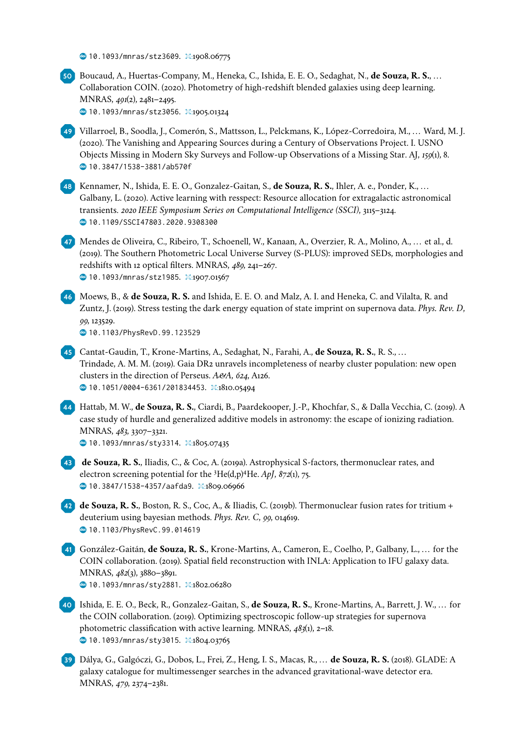$\bullet$  [10.1093/mnras/stz3609](https://doi.org/10.1093/mnras/stz3609). ¤:1908.06775



**3 9** Dálya, G., Galgóczi, G., Dobos, L., Frei, Z., Heng, I. S., Macas, R., . . . **de Souza, R. S.** (2018). GLADE: A galaxy catalogue for multimessenger searches in the advanced gravitational-wave detector era. MNRAS, *479*, 2374–2381.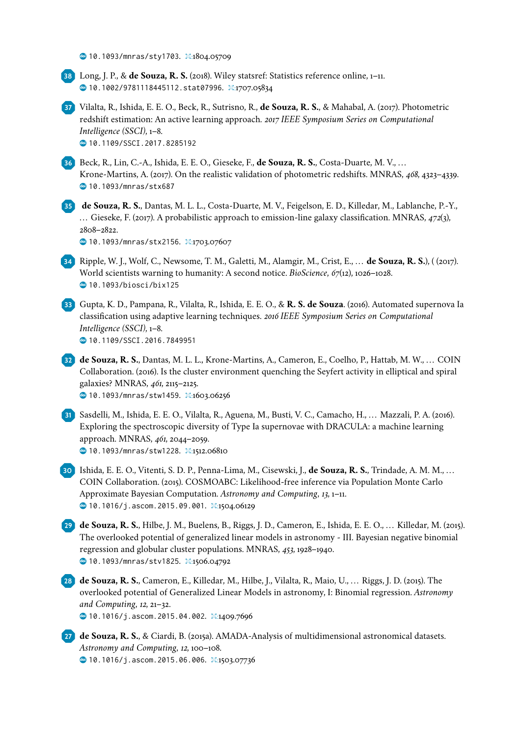$\bullet$  [10.1093/mnras/sty1703](https://doi.org/10.1093/mnras/sty1703). ¤:1804.05709

**3 8** Long, J. P., & **de Souza, R. S.** (2018). Wiley statsref: Statistics reference online, 1–11. **<u></u> [10.1002/9781118445112.stat07996](https://doi.org/10.1002/9781118445112.stat07996).** □:1707.05834

**3 7** Vilalta, R., Ishida, E. E. O., Beck, R., Sutrisno, R., **de Souza, R. S.**, & Mahabal, A. (2017). Photometric redshift estimation: An active learning approach. *2017 IEEE Symposium Series on Computational Intelligence (SSCI)*, 1–8.  $\bullet$  [10.1109/SSCI.2017.8285192](https://doi.org/10.1109/SSCI.2017.8285192)

**3 6** Beck, R., Lin, C.-A., Ishida, E. E. O., Gieseke, F., **de Souza, R. S.**, Costa-Duarte, M. V., . . . Krone-Martins, A. (2017). On the realistic validation of photometric redshifts. MNRAS, *468*, 4323–4339. � [10.1093/mnras/stx687](https://doi.org/10.1093/mnras/stx687)

**3 5 de Souza, R. S.**, Dantas, M. L. L., Costa-Duarte, M. V., Feigelson, E. D., Killedar, M., Lablanche, P.-Y., . . . Gieseke, F. (2017). A probabilistic approach to emission-line galaxy classification. MNRAS, *472*(3), 2808–2822.

<sup>4</sup> [10.1093/mnras/stx2156](https://doi.org/10.1093/mnras/stx2156). ¤:1703.07607

- **3 4** Ripple, W. J., Wolf, C., Newsome, T. M., Galetti, M., Alamgir, M., Crist, E., . . . **de Souza, R. S.**), ( (2017). World scientists warning to humanity: A second notice. *BioScience*, *67*(12), 1026–1028. � [10.1093/biosci/bix125](https://doi.org/10.1093/biosci/bix125)
- **3 3** Gupta, K. D., Pampana, R., Vilalta, R., Ishida, E. E. O., & **R. S. de Souza**. (2016). Automated supernova Ia classification using adaptive learning techniques. *2016 IEEE Symposium Series on Computational Intelligence (SSCI)*, 1–8.  $\bullet$  [10.1109/SSCI.2016.7849951](https://doi.org/10.1109/SSCI.2016.7849951)

**3 2 de Souza, R. S.**, Dantas, M. L. L., Krone-Martins, A., Cameron, E., Coelho, P., Hattab, M. W., . . . COIN Collaboration. (2016). Is the cluster environment quenching the Seyfert activity in elliptical and spiral galaxies? MNRAS, *461*, 2115–2125.

<sup>6</sup> [10.1093/mnras/stw1459](https://doi.org/10.1093/mnras/stw1459). ¤1603.06256

- **3 1** Sasdelli, M., Ishida, E. E. O., Vilalta, R., Aguena, M., Busti, V. C., Camacho, H., . . . Mazzali, P. A. (2016). Exploring the spectroscopic diversity of Type Ia supernovae with DRACULA: a machine learning approach. MNRAS, *461*, 2044–2059.  $\bullet$  [10.1093/mnras/stw1228](https://doi.org/10.1093/mnras/stw1228). ¤:1512.06810
- **3 0** Ishida, E. E. O., Vitenti, S. D. P., Penna-Lima, M., Cisewski, J., **de Souza, R. S.**, Trindade, A. M. M., . . . COIN Collaboration. (2015). COSMOABC: Likelihood-free inference via Population Monte Carlo Approximate Bayesian Computation. *Astronomy and Computing*, *13*, 1–11.  $\bullet$  [10.1016/j.ascom.2015.09.001](https://doi.org/10.1016/j.ascom.2015.09.001).  $\Xi$ :1504.06129
- **2 9 de Souza, R. S.**, Hilbe, J. M., Buelens, B., Riggs, J. D., Cameron, E., Ishida, E. E. O., . . . Killedar, M. (2015). The overlooked potential of generalized linear models in astronomy - III. Bayesian negative binomial regression and globular cluster populations. MNRAS, *453*, 1928–1940. � [10.1093/mnras/stv1825](https://doi.org/10.1093/mnras/stv1825). �:1506.04792
- **2 8 de Souza, R. S.**, Cameron, E., Killedar, M., Hilbe, J., Vilalta, R., Maio, U., . . . Riggs, J. D. (2015). The overlooked potential of Generalized Linear Models in astronomy, I: Binomial regression. *Astronomy and Computing*, *12*, 21–32.

<sup>3</sup> [10.1016/j.ascom.2015.04.002](https://doi.org/10.1016/j.ascom.2015.04.002). 耳1409.7696

**2 7 de Souza, R. S.**, & Ciardi, B. (2015a). AMADA-Analysis of multidimensional astronomical datasets. *Astronomy and Computing*, *12*, 100–108.

� [10.1016/j.ascom.2015.06.006](https://doi.org/10.1016/j.ascom.2015.06.006). �:1503.07736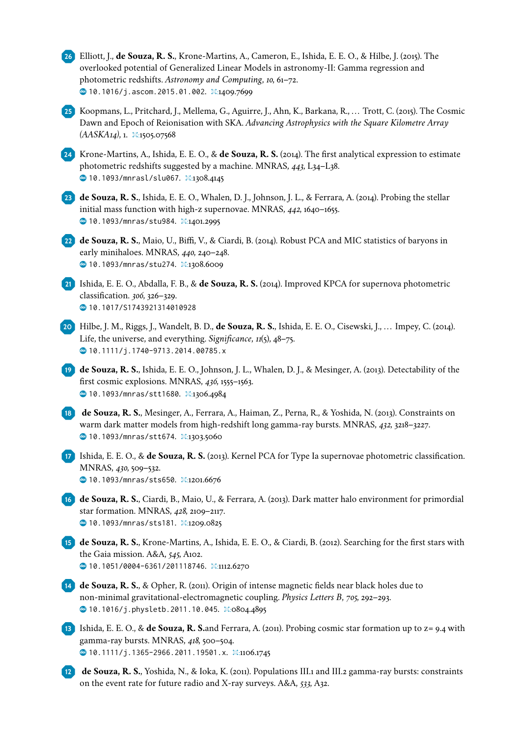**2 6** Elliott, J., **de Souza, R. S.**, Krone-Martins, A., Cameron, E., Ishida, E. E. O., & Hilbe, J. (2015). The overlooked potential of Generalized Linear Models in astronomy-II: Gamma regression and photometric redshifts. *Astronomy and Computing*, *10*, 61–72.  $\bullet$  [10.1016/j.ascom.2015.01.002](https://doi.org/10.1016/j.ascom.2015.01.002).  $\Xi$ :1409.7699

**2 5** Koopmans, L., Pritchard, J., Mellema, G., Aguirre, J., Ahn, K., Barkana, R., . . . Trott, C. (2015). The Cosmic Dawn and Epoch of Reionisation with SKA. *Advancing Astrophysics with the Square Kilometre Array (AASKA14)*, 1. �:1505.07568

**2 4** Krone-Martins, A., Ishida, E. E. O., & **de Souza, R. S.** (2014). The first analytical expression to estimate photometric redshifts suggested by a machine. MNRAS, *443*, L34–L38. � [10.1093/mnrasl/slu067](https://doi.org/10.1093/mnrasl/slu067). �:1308.4145

**2 3 de Souza, R. S.**, Ishida, E. E. O., Whalen, D. J., Johnson, J. L., & Ferrara, A. (2014). Probing the stellar initial mass function with high-z supernovae. MNRAS, *442*, 1640–1655. <sup>4</sup> [10.1093/mnras/stu984](https://doi.org/10.1093/mnras/stu984). **草1401.2995** 

**2 2 de Souza, R. S.**, Maio, U., Biffi, V., & Ciardi, B. (2014). Robust PCA and MIC statistics of baryons in early minihaloes. MNRAS, *440*, 240–248. **@ [10.1093/mnras/stu274](https://doi.org/10.1093/mnras/stu274).**  \$1308.6009

**2 1** Ishida, E. E. O., Abdalla, F. B., & **de Souza, R. S.** (2014). Improved KPCA for supernova photometric classification. *306*, 326–329.  $\bullet$  [10.1017/S1743921314010928](https://doi.org/10.1017/S1743921314010928)

- **2 0** Hilbe, J. M., Riggs, J., Wandelt, B. D., **de Souza, R. S.**, Ishida, E. E. O., Cisewski, J., . . . Impey, C. (2014). Life, the universe, and everything. *Significance*, *11*(5), 48–75. � [10.1111/j.1740-9713.2014.00785.x](https://doi.org/10.1111/j.1740-9713.2014.00785.x)
- **1 9 de Souza, R. S.**, Ishida, E. E. O., Johnson, J. L., Whalen, D. J., & Mesinger, A. (2013). Detectability of the first cosmic explosions. MNRAS, *436*, 1555–1563. <sup>6</sup> [10.1093/mnras/stt1680](https://doi.org/10.1093/mnras/stt1680). ¤1306.4984
- **1 8 de Souza, R. S.**, Mesinger, A., Ferrara, A., Haiman, Z., Perna, R., & Yoshida, N. (2013). Constraints on warm dark matter models from high-redshift long gamma-ray bursts. MNRAS, *432*, 3218–3227. � [10.1093/mnras/stt674](https://doi.org/10.1093/mnras/stt674). �:1303.5060
- **1 7** Ishida, E. E. O., & **de Souza, R. S.** (2013). Kernel PCA for Type Ia supernovae photometric classification. MNRAS, *430*, 509–532.

� [10.1093/mnras/sts650](https://doi.org/10.1093/mnras/sts650). �:1201.6676

- **1 6 de Souza, R. S.**, Ciardi, B., Maio, U., & Ferrara, A. (2013). Dark matter halo environment for primordial star formation. MNRAS, *428*, 2109–2117. � [10.1093/mnras/sts181](https://doi.org/10.1093/mnras/sts181). �:1209.0825
- **1 5 de Souza, R. S.**, Krone-Martins, A., Ishida, E. E. O., & Ciardi, B. (2012). Searching for the first stars with the Gaia mission. A&A, *545*, A102. � [10.1051/0004-6361/201118746](https://doi.org/10.1051/0004-6361/201118746). �:1112.6270
- **1 4 de Souza, R. S.**, & Opher, R. (2011). Origin of intense magnetic fields near black holes due to non-minimal gravitational-electromagnetic coupling. *Physics Letters B*, *705*, 292–293. � [10.1016/j.physletb.2011.10.045](https://doi.org/10.1016/j.physletb.2011.10.045). �:0804.4895
- **1 3** Ishida, E. E. O., & **de Souza, R. S.**and Ferrara, A. (2011). Probing cosmic star formation up to z= 9.4 with gamma-ray bursts. MNRAS, *418*, 500–504. � [10.1111/j.1365-2966.2011.19501.x](https://doi.org/10.1111/j.1365-2966.2011.19501.x). �:1106.1745
- **1 2 de Souza, R. S.**, Yoshida, N., & Ioka, K. (2011). Populations III.1 and III.2 gamma-ray bursts: constraints on the event rate for future radio and X-ray surveys. A&A, *533*, A32.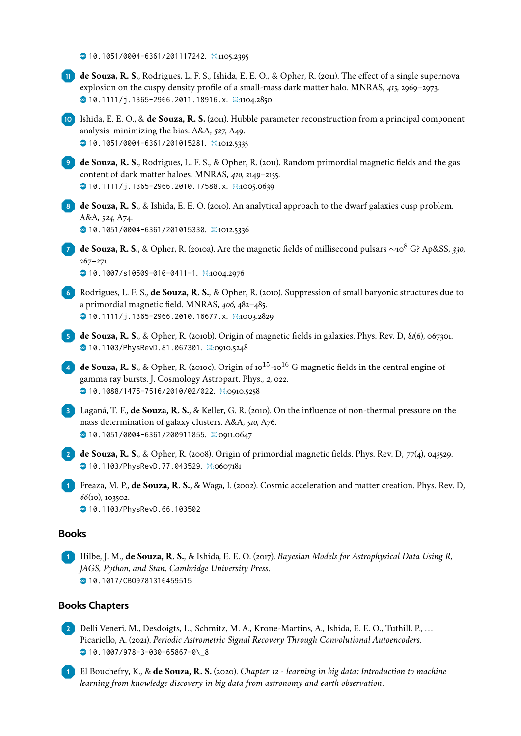$\bullet$  [10.1051/0004-6361/201117242](https://doi.org/10.1051/0004-6361/201117242).  $\overline{\mathfrak{D}}$ :1105.2395

**1 1 de Souza, R. S.**, Rodrigues, L. F. S., Ishida, E. E. O., & Opher, R. (2011). The effect of a single supernova explosion on the cuspy density profile of a small-mass dark matter halo. MNRAS, *415*, 2969–2973. � [10.1111/j.1365-2966.2011.18916.x](https://doi.org/10.1111/j.1365-2966.2011.18916.x). �:1104.2850

**1 0** Ishida, E. E. O., & **de Souza, R. S.** (2011). Hubble parameter reconstruction from a principal component analysis: minimizing the bias. A&A, *527*, A49.  $\bullet$  [10.1051/0004-6361/201015281](https://doi.org/10.1051/0004-6361/201015281).  $\overline{2}$ :1012.5335

**<sup>9</sup> de Souza, R. S.**, Rodrigues, L. F. S., & Opher, R. (2011). Random primordial magnetic fields and the gas content of dark matter haloes. MNRAS, *410*, 2149–2155. � [10.1111/j.1365-2966.2010.17588.x](https://doi.org/10.1111/j.1365-2966.2010.17588.x). �:1005.0639

**<sup>8</sup> de Souza, R. S.**, & Ishida, E. E. O. (2010). An analytical approach to the dwarf galaxies cusp problem. A&A, *524*, A74. � [10.1051/0004-6361/201015330](https://doi.org/10.1051/0004-6361/201015330). �:1012.5336

**<sup>7</sup> de Souza, R. S.**, & Opher, R. (2010a). Are the magnetic fields of millisecond pulsars ∼10<sup>8</sup> G? Ap&SS, *330*, 267–271. � [10.1007/s10509-010-0411-1](https://doi.org/10.1007/s10509-010-0411-1). �:1004.2976

**<sup>6</sup>** Rodrigues, L. F. S., **de Souza, R. S.**, & Opher, R. (2010). Suppression of small baryonic structures due to a primordial magnetic field. MNRAS, *406*, 482–485. � [10.1111/j.1365-2966.2010.16677.x](https://doi.org/10.1111/j.1365-2966.2010.16677.x). �:1003.2829

**<sup>5</sup> de Souza, R. S.**, & Opher, R. (2010b). Origin of magnetic fields in galaxies. Phys. Rev. D, *81*(6), 067301.  $\bullet$  [10.1103/PhysRevD.81.067301](https://doi.org/10.1103/PhysRevD.81.067301). 其:0910.5248

**4 de Souza, R. S.**, & Opher, R. (2010c). Origin of 10<sup>15</sup>-10<sup>16</sup> G magnetic fields in the central engine of gamma ray bursts. J. Cosmology Astropart. Phys., *2*, 022. � [10.1088/1475-7516/2010/02/022](https://doi.org/10.1088/1475-7516/2010/02/022). �:0910.5258

**<sup>3</sup>** Laganá, T. F., **de Souza, R. S.**, & Keller, G. R. (2010). On the influence of non-thermal pressure on the mass determination of galaxy clusters. A&A, *510*, A76.  $\bullet$  **[10.1051/0004-6361/200911855](https://doi.org/10.1051/0004-6361/200911855).** p:0911.0647

**<sup>2</sup> de Souza, R. S.**, & Opher, R. (2008). Origin of primordial magnetic fields. Phys. Rev. D, *77*(4), 043529.  $\bullet$  [10.1103/PhysRevD.77.043529](https://doi.org/10.1103/PhysRevD.77.043529).  $\Xi$ :0607181

**<sup>1</sup>** Freaza, M. P., **de Souza, R. S.**, & Waga, I. (2002). Cosmic acceleration and matter creation. Phys. Rev. D, *66*(10), 103502.  $\bullet$  [10.1103/PhysRevD.66.103502](https://doi.org/10.1103/PhysRevD.66.103502)

#### **Books**

**<sup>1</sup>** Hilbe, J. M., **de Souza, R. S.**, & Ishida, E. E. O. (2017). *Bayesian Models for Astrophysical Data Using R, JAGS, Python, and Stan, Cambridge University Press*.  $\bullet$  [10.1017/CBO9781316459515](https://doi.org/10.1017/CBO9781316459515)

#### **Books Chapters**

**<sup>2</sup>** Delli Veneri, M., Desdoigts, L., Schmitz, M. A., Krone-Martins, A., Ishida, E. E. O., Tuthill, P., . . . Picariello, A. (2021). *Periodic Astrometric Signal Recovery Through Convolutional Autoencoders*. � [10.1007/978-3-030-65867-0\\\_8](https://doi.org/10.1007/978-3-030-65867-0\_8)

**<sup>1</sup>** El Bouchefry, K., & **de Souza, R. S.** (2020). *Chapter 12 - learning in big data: Introduction to machine learning from knowledge discovery in big data from astronomy and earth observation*.